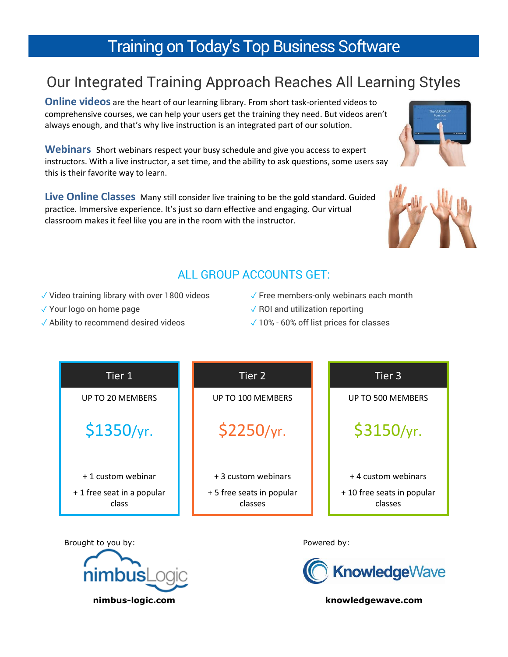## Training on Today's Top Business Software

## Our Integrated Training Approach Reaches All Learning Styles

**Online videos** are the heart of our learning library. From short task-oriented videos to comprehensive courses, we can help your users get the training they need. But videos aren't always enough, and that's why live instruction is an integrated part of our solution.

**Webinars** Short webinars respect your busy schedule and give you access to expert instructors. With a live instructor, a set time, and the ability to ask questions, some users say this is their favorite way to learn.

**Live Online Classes** Many still consider live training to be the gold standard. Guided practice. Immersive experience. It's just so darn effective and engaging. Our virtual classroom makes it feel like you are in the room with the instructor.





## ALL GROUP ACCOUNTS GET:

- ✓ Video training library with over 1800 videos
- ✓ Your logo on home page
- ✓ Ability to recommend desired videos
- $\sqrt{\ }$  Free members-only webinars each month
- $\sqrt{RQ}$  ROI and utilization reporting
- ✓ 10% 60% off list prices for classes



Brought to you by: The same of the set of the Powered by:





**nimbus-logic.com knowledgewave.com**